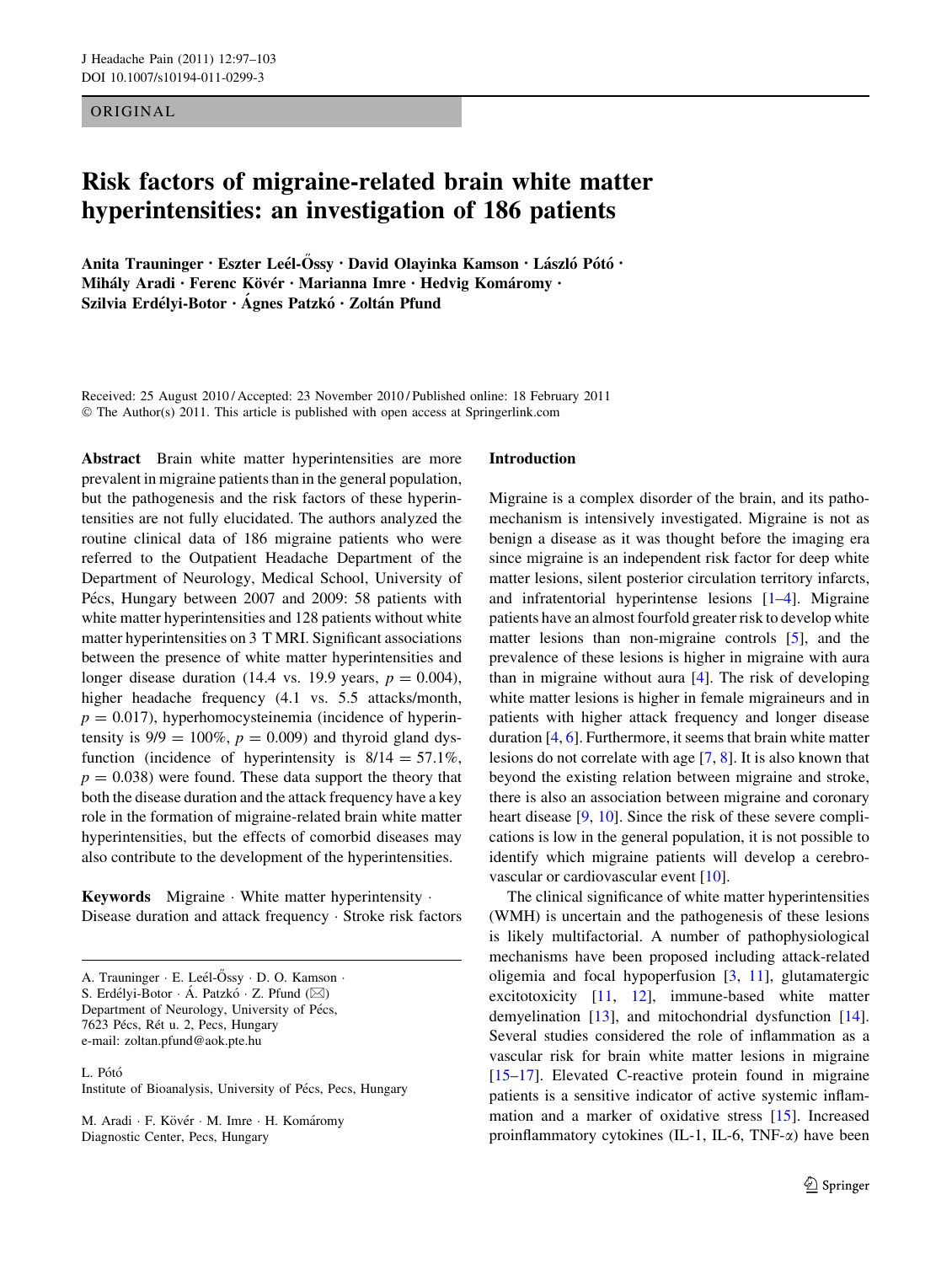ORIGINAL

# Risk factors of migraine-related brain white matter hyperintensities: an investigation of 186 patients

Anita Trauninger • Eszter Leél-Őssy • David Olayinka Kamson • László Pótó • Mihály Aradi • Ferenc Kövér • Marianna Imre • Hedvig Komáromy • Szilvia Erdélyi-Botor · Ágnes Patzkó · Zoltán Pfund

Received: 25 August 2010 / Accepted: 23 November 2010 / Published online: 18 February 2011 © The Author(s) 2011. This article is published with open access at Springerlink.com

Abstract Brain white matter hyperintensities are more prevalent in migraine patients than in the general population, but the pathogenesis and the risk factors of these hyperintensities are not fully elucidated. The authors analyzed the routine clinical data of 186 migraine patients who were referred to the Outpatient Headache Department of the Department of Neurology, Medical School, University of Pécs, Hungary between 2007 and 2009: 58 patients with white matter hyperintensities and 128 patients without white matter hyperintensities on 3 T MRI. Significant associations between the presence of white matter hyperintensities and longer disease duration (14.4 vs. 19.9 years,  $p = 0.004$ ), higher headache frequency (4.1 vs. 5.5 attacks/month,  $p = 0.017$ ), hyperhomocysteinemia (incidence of hyperintensity is  $9/9 = 100\%$ ,  $p = 0.009$ ) and thyroid gland dysfunction (incidence of hyperintensity is  $8/14 = 57.1\%$ ,  $p = 0.038$ ) were found. These data support the theory that both the disease duration and the attack frequency have a key role in the formation of migraine-related brain white matter hyperintensities, but the effects of comorbid diseases may also contribute to the development of the hyperintensities.

Keywords Migraine - White matter hyperintensity - Disease duration and attack frequency - Stroke risk factors

A. Trauninger · E. Leél-Őssy · D. O. Kamson · S. Erdélyi-Botor · Á. Patzkó · Z. Pfund ( $\boxtimes$ ) Department of Neurology, University of Pécs, 7623 Pécs, Rét u. 2, Pecs, Hungary e-mail: zoltan.pfund@aok.pte.hu

#### L. Pótó

Institute of Bioanalysis, University of Pécs, Pecs, Hungary

M. Aradi · F. Kövér · M. Imre · H. Komáromy Diagnostic Center, Pecs, Hungary

#### Introduction

Migraine is a complex disorder of the brain, and its pathomechanism is intensively investigated. Migraine is not as benign a disease as it was thought before the imaging era since migraine is an independent risk factor for deep white matter lesions, silent posterior circulation territory infarcts, and infratentorial hyperintense lesions [\[1](#page-4-0)[–4](#page-5-0)]. Migraine patients have an almost fourfold greater risk to develop white matter lesions than non-migraine controls [\[5](#page-5-0)], and the prevalence of these lesions is higher in migraine with aura than in migraine without aura [[4\]](#page-5-0). The risk of developing white matter lesions is higher in female migraineurs and in patients with higher attack frequency and longer disease duration [[4,](#page-5-0) [6](#page-5-0)]. Furthermore, it seems that brain white matter lesions do not correlate with age [[7,](#page-5-0) [8\]](#page-5-0). It is also known that beyond the existing relation between migraine and stroke, there is also an association between migraine and coronary heart disease [[9,](#page-5-0) [10](#page-5-0)]. Since the risk of these severe complications is low in the general population, it is not possible to identify which migraine patients will develop a cerebro-vascular or cardiovascular event [\[10](#page-5-0)].

The clinical significance of white matter hyperintensities (WMH) is uncertain and the pathogenesis of these lesions is likely multifactorial. A number of pathophysiological mechanisms have been proposed including attack-related oligemia and focal hypoperfusion [\[3](#page-5-0), [11](#page-5-0)], glutamatergic excitotoxicity [[11,](#page-5-0) [12\]](#page-5-0), immune-based white matter demyelination [[13\]](#page-5-0), and mitochondrial dysfunction [\[14](#page-5-0)]. Several studies considered the role of inflammation as a vascular risk for brain white matter lesions in migraine [\[15–17](#page-5-0)]. Elevated C-reactive protein found in migraine patients is a sensitive indicator of active systemic inflammation and a marker of oxidative stress [\[15](#page-5-0)]. Increased proinflammatory cytokines (IL-1, IL-6, TNF- $\alpha$ ) have been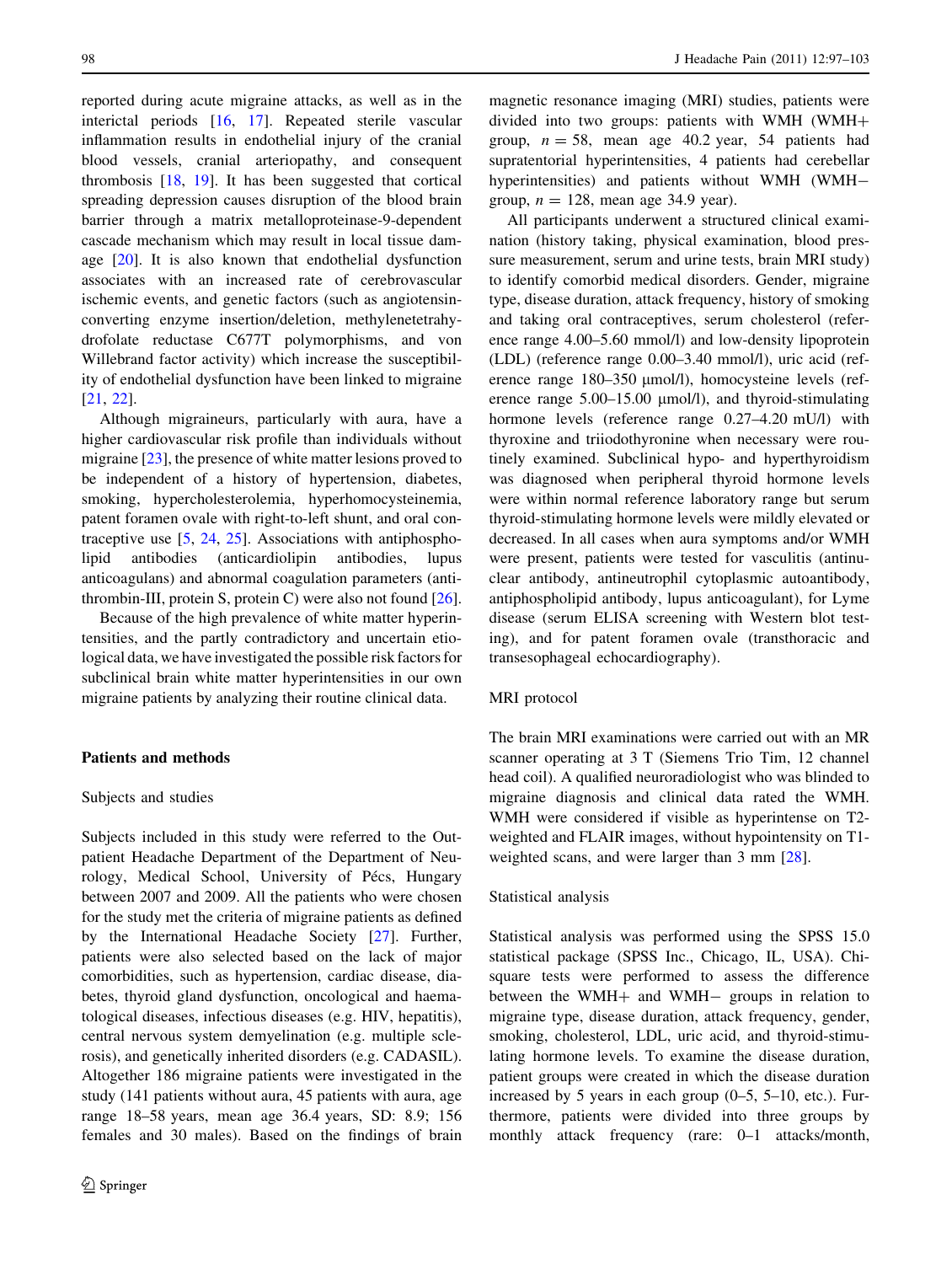reported during acute migraine attacks, as well as in the interictal periods [[16,](#page-5-0) [17](#page-5-0)]. Repeated sterile vascular inflammation results in endothelial injury of the cranial blood vessels, cranial arteriopathy, and consequent thrombosis [[18,](#page-5-0) [19\]](#page-5-0). It has been suggested that cortical spreading depression causes disruption of the blood brain barrier through a matrix metalloproteinase-9-dependent cascade mechanism which may result in local tissue damage [[20\]](#page-5-0). It is also known that endothelial dysfunction associates with an increased rate of cerebrovascular ischemic events, and genetic factors (such as angiotensinconverting enzyme insertion/deletion, methylenetetrahydrofolate reductase C677T polymorphisms, and von Willebrand factor activity) which increase the susceptibility of endothelial dysfunction have been linked to migraine [\[21](#page-5-0), [22](#page-5-0)].

Although migraineurs, particularly with aura, have a higher cardiovascular risk profile than individuals without migraine [[23\]](#page-5-0), the presence of white matter lesions proved to be independent of a history of hypertension, diabetes, smoking, hypercholesterolemia, hyperhomocysteinemia, patent foramen ovale with right-to-left shunt, and oral contraceptive use [\[5](#page-5-0), [24](#page-5-0), [25\]](#page-5-0). Associations with antiphospholipid antibodies (anticardiolipin antibodies, lupus anticoagulans) and abnormal coagulation parameters (antithrombin-III, protein S, protein C) were also not found [\[26](#page-5-0)].

Because of the high prevalence of white matter hyperintensities, and the partly contradictory and uncertain etiological data, we have investigated the possible risk factors for subclinical brain white matter hyperintensities in our own migraine patients by analyzing their routine clinical data.

## Patients and methods

## Subjects and studies

Subjects included in this study were referred to the Outpatient Headache Department of the Department of Neurology, Medical School, University of Pécs, Hungary between 2007 and 2009. All the patients who were chosen for the study met the criteria of migraine patients as defined by the International Headache Society [\[27](#page-5-0)]. Further, patients were also selected based on the lack of major comorbidities, such as hypertension, cardiac disease, diabetes, thyroid gland dysfunction, oncological and haematological diseases, infectious diseases (e.g. HIV, hepatitis), central nervous system demyelination (e.g. multiple sclerosis), and genetically inherited disorders (e.g. CADASIL). Altogether 186 migraine patients were investigated in the study (141 patients without aura, 45 patients with aura, age range 18–58 years, mean age 36.4 years, SD: 8.9; 156 females and 30 males). Based on the findings of brain magnetic resonance imaging (MRI) studies, patients were divided into two groups: patients with WMH (WMH+ group,  $n = 58$ , mean age 40.2 year, 54 patients had supratentorial hyperintensities, 4 patients had cerebellar hyperintensities) and patients without WMH (WMHgroup,  $n = 128$ , mean age 34.9 year).

All participants underwent a structured clinical examination (history taking, physical examination, blood pressure measurement, serum and urine tests, brain MRI study) to identify comorbid medical disorders. Gender, migraine type, disease duration, attack frequency, history of smoking and taking oral contraceptives, serum cholesterol (reference range 4.00–5.60 mmol/l) and low-density lipoprotein (LDL) (reference range 0.00–3.40 mmol/l), uric acid (reference range 180–350 µmol/l), homocysteine levels (reference range  $5.00-15.00 \mu$  mol/l), and thyroid-stimulating hormone levels (reference range 0.27–4.20 mU/l) with thyroxine and triiodothyronine when necessary were routinely examined. Subclinical hypo- and hyperthyroidism was diagnosed when peripheral thyroid hormone levels were within normal reference laboratory range but serum thyroid-stimulating hormone levels were mildly elevated or decreased. In all cases when aura symptoms and/or WMH were present, patients were tested for vasculitis (antinuclear antibody, antineutrophil cytoplasmic autoantibody, antiphospholipid antibody, lupus anticoagulant), for Lyme disease (serum ELISA screening with Western blot testing), and for patent foramen ovale (transthoracic and transesophageal echocardiography).

#### MRI protocol

The brain MRI examinations were carried out with an MR scanner operating at 3 T (Siemens Trio Tim, 12 channel head coil). A qualified neuroradiologist who was blinded to migraine diagnosis and clinical data rated the WMH. WMH were considered if visible as hyperintense on T2 weighted and FLAIR images, without hypointensity on T1 weighted scans, and were larger than 3 mm [[28\]](#page-5-0).

## Statistical analysis

Statistical analysis was performed using the SPSS 15.0 statistical package (SPSS Inc., Chicago, IL, USA). Chisquare tests were performed to assess the difference between the WMH $+$  and WMH $-$  groups in relation to migraine type, disease duration, attack frequency, gender, smoking, cholesterol, LDL, uric acid, and thyroid-stimulating hormone levels. To examine the disease duration, patient groups were created in which the disease duration increased by 5 years in each group (0–5, 5–10, etc.). Furthermore, patients were divided into three groups by monthly attack frequency (rare: 0–1 attacks/month,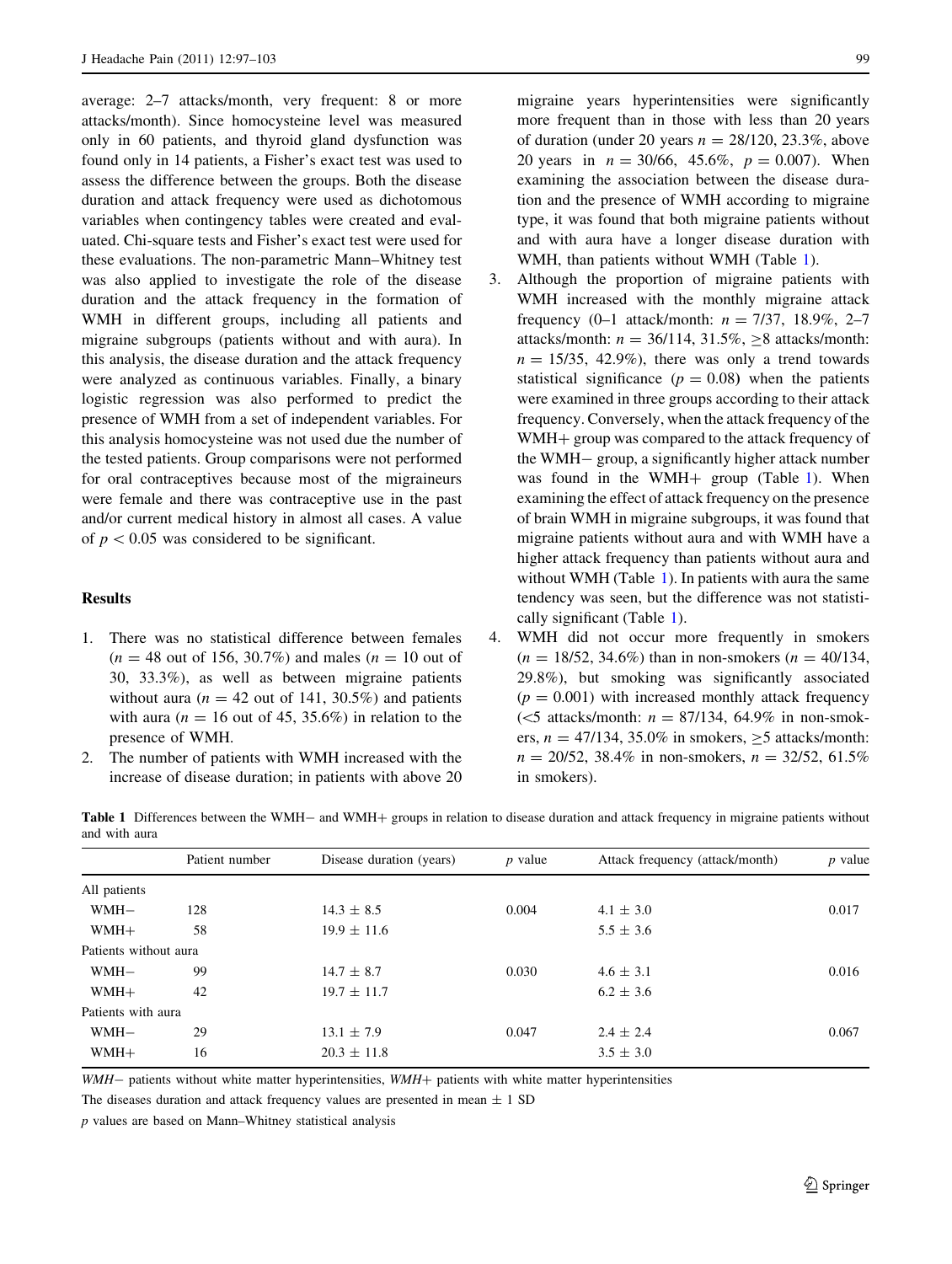average: 2–7 attacks/month, very frequent: 8 or more attacks/month). Since homocysteine level was measured only in 60 patients, and thyroid gland dysfunction was found only in 14 patients, a Fisher's exact test was used to assess the difference between the groups. Both the disease duration and attack frequency were used as dichotomous variables when contingency tables were created and evaluated. Chi-square tests and Fisher's exact test were used for these evaluations. The non-parametric Mann–Whitney test was also applied to investigate the role of the disease duration and the attack frequency in the formation of WMH in different groups, including all patients and migraine subgroups (patients without and with aura). In this analysis, the disease duration and the attack frequency were analyzed as continuous variables. Finally, a binary logistic regression was also performed to predict the presence of WMH from a set of independent variables. For this analysis homocysteine was not used due the number of the tested patients. Group comparisons were not performed for oral contraceptives because most of the migraineurs were female and there was contraceptive use in the past and/or current medical history in almost all cases. A value of  $p < 0.05$  was considered to be significant.

# Results

- 1. There was no statistical difference between females  $(n = 48$  out of 156, 30.7%) and males  $(n = 10)$  out of 30, 33.3%), as well as between migraine patients without aura ( $n = 42$  out of 141, 30.5%) and patients with aura ( $n = 16$  out of 45, 35.6%) in relation to the presence of WMH.
- 2. The number of patients with WMH increased with the increase of disease duration; in patients with above 20

migraine years hyperintensities were significantly more frequent than in those with less than 20 years of duration (under 20 years  $n = 28/120, 23.3\%$ , above 20 years in  $n = 30/66$ , 45.6%,  $p = 0.007$ ). When examining the association between the disease duration and the presence of WMH according to migraine type, it was found that both migraine patients without and with aura have a longer disease duration with WMH, than patients without WMH (Table 1).

- 3. Although the proportion of migraine patients with WMH increased with the monthly migraine attack frequency (0–1 attack/month:  $n = 7/37, 18.9\%$ , 2–7 attacks/month:  $n = 36/114$ ,  $31.5\%$ ,  $\geq 8$  attacks/month:  $n = 15/35$ , 42.9%), there was only a trend towards statistical significance ( $p = 0.08$ ) when the patients were examined in three groups according to their attack frequency. Conversely, when the attack frequency of the WMH+ group was compared to the attack frequency of the WMH- group, a significantly higher attack number was found in the WMH $+$  group (Table 1). When examining the effect of attack frequency on the presence of brain WMH in migraine subgroups, it was found that migraine patients without aura and with WMH have a higher attack frequency than patients without aura and without WMH (Table 1). In patients with aura the same tendency was seen, but the difference was not statistically significant (Table 1).
- 4. WMH did not occur more frequently in smokers  $(n = 18/52, 34.6\%)$  than in non-smokers  $(n = 40/134, ...)$ 29.8%), but smoking was significantly associated  $(p = 0.001)$  with increased monthly attack frequency ( $\leq$ 5 attacks/month:  $n = 87/134$ , 64.9% in non-smokers,  $n = 47/134$ , 35.0% in smokers,  $>$ 5 attacks/month:  $n = 20/52$ , 38.4% in non-smokers,  $n = 32/52$ , 61.5% in smokers).

Table 1 Differences between the WMH- and WMH+ groups in relation to disease duration and attack frequency in migraine patients without and with aura

|                       | Patient number | Disease duration (years) | $p$ value | Attack frequency (attack/month) | $p$ value |
|-----------------------|----------------|--------------------------|-----------|---------------------------------|-----------|
| All patients          |                |                          |           |                                 |           |
| $WMH-$                | 128            | $14.3 \pm 8.5$           | 0.004     | $4.1 \pm 3.0$                   | 0.017     |
| $WMH+$                | 58             | $19.9 \pm 11.6$          |           | $5.5 \pm 3.6$                   |           |
| Patients without aura |                |                          |           |                                 |           |
| $WMH-$                | 99             | $14.7 \pm 8.7$           | 0.030     | $4.6 \pm 3.1$                   | 0.016     |
| WMH+                  | 42             | $19.7 \pm 11.7$          |           | $6.2 \pm 3.6$                   |           |
| Patients with aura    |                |                          |           |                                 |           |
| $WMH-$                | 29             | $13.1 \pm 7.9$           | 0.047     | $2.4 \pm 2.4$                   | 0.067     |
| $WMH+$                | 16             | $20.3 \pm 11.8$          |           | $3.5 \pm 3.0$                   |           |
|                       |                |                          |           |                                 |           |

WMH- patients without white matter hyperintensities, WMH+ patients with white matter hyperintensities

The diseases duration and attack frequency values are presented in mean  $\pm$  1 SD

p values are based on Mann–Whitney statistical analysis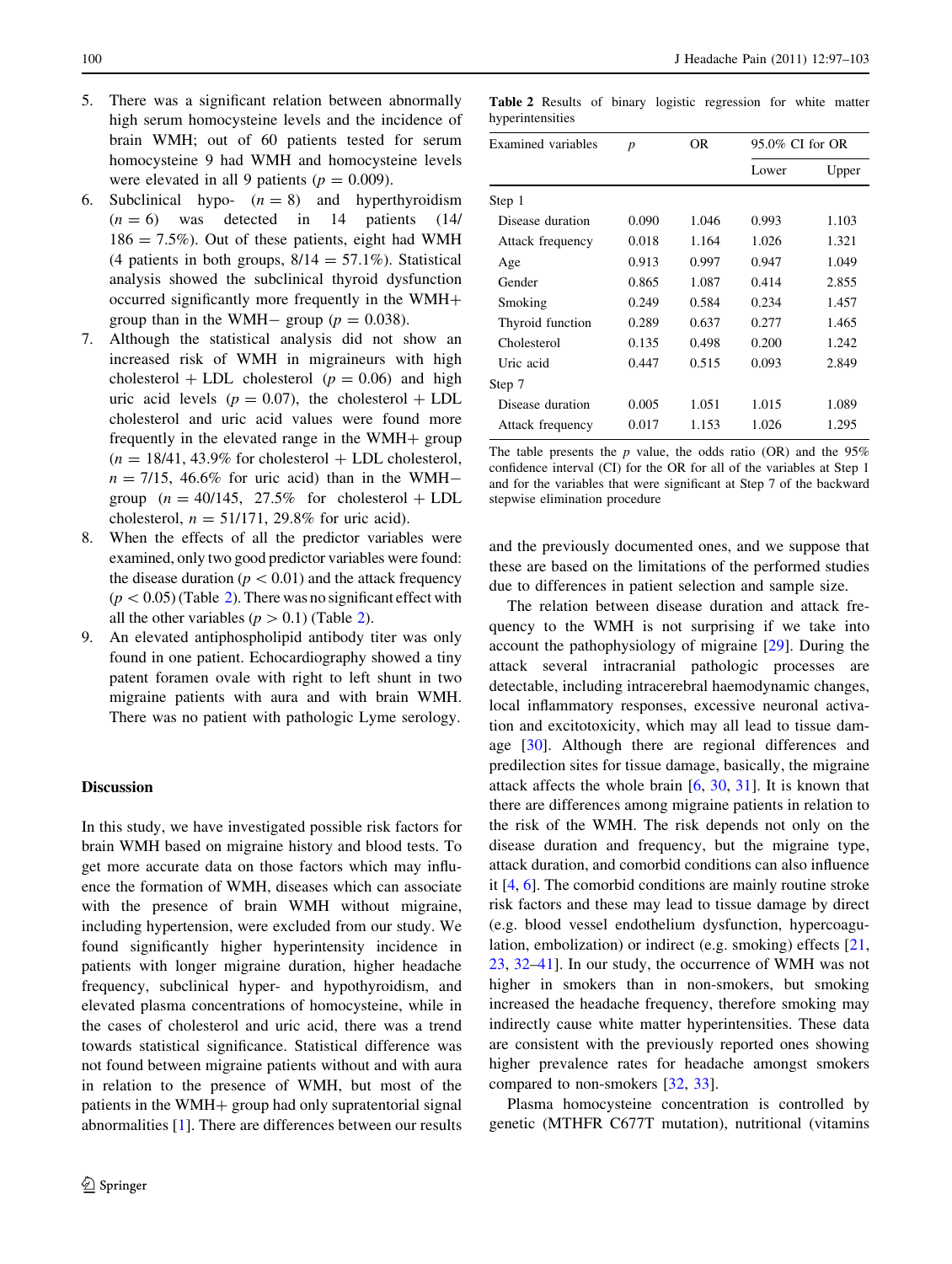- 5. There was a significant relation between abnormally high serum homocysteine levels and the incidence of brain WMH; out of 60 patients tested for serum homocysteine 9 had WMH and homocysteine levels were elevated in all 9 patients ( $p = 0.009$ ).
- 6. Subclinical hypo-  $(n = 8)$  and hyperthyroidism  $(n = 6)$  was detected in 14 patients (14)  $186 = 7.5\%$ ). Out of these patients, eight had WMH (4 patients in both groups,  $8/14 = 57.1\%$ ). Statistical analysis showed the subclinical thyroid dysfunction occurred significantly more frequently in the WMH+ group than in the WMH- group ( $p = 0.038$ ).
- 7. Although the statistical analysis did not show an increased risk of WMH in migraineurs with high cholesterol  $+$  LDL cholesterol ( $p = 0.06$ ) and high uric acid levels ( $p = 0.07$ ), the cholesterol + LDL cholesterol and uric acid values were found more frequently in the elevated range in the  $WHH +$  group  $(n = 18/41, 43.9\%$  for cholesterol + LDL cholesterol,  $n = 7/15$ , 46.6% for uric acid) than in the WMHgroup  $(n = 40/145, 27.5\%$  for cholesterol + LDL cholesterol,  $n = 51/171$ , 29.8% for uric acid).
- 8. When the effects of all the predictor variables were examined, only two good predictor variables were found: the disease duration ( $p<0.01$ ) and the attack frequency  $(p\lt 0.05)$  (Table 2). There was no significant effect with all the other variables ( $p > 0.1$ ) (Table 2).
- 9. An elevated antiphospholipid antibody titer was only found in one patient. Echocardiography showed a tiny patent foramen ovale with right to left shunt in two migraine patients with aura and with brain WMH. There was no patient with pathologic Lyme serology.

#### Discussion

In this study, we have investigated possible risk factors for brain WMH based on migraine history and blood tests. To get more accurate data on those factors which may influence the formation of WMH, diseases which can associate with the presence of brain WMH without migraine, including hypertension, were excluded from our study. We found significantly higher hyperintensity incidence in patients with longer migraine duration, higher headache frequency, subclinical hyper- and hypothyroidism, and elevated plasma concentrations of homocysteine, while in the cases of cholesterol and uric acid, there was a trend towards statistical significance. Statistical difference was not found between migraine patients without and with aura in relation to the presence of WMH, but most of the patients in the WMH $+$  group had only supratentorial signal abnormalities [\[1](#page-4-0)]. There are differences between our results

Table 2 Results of binary logistic regression for white matter hyperintensities

| Examined variables | $\boldsymbol{p}$ | OR    | $95.0\%$ CI for OR |       |
|--------------------|------------------|-------|--------------------|-------|
|                    |                  |       | Lower              | Upper |
| Step 1             |                  |       |                    |       |
| Disease duration   | 0.090            | 1.046 | 0.993              | 1.103 |
| Attack frequency   | 0.018            | 1.164 | 1.026              | 1.321 |
| Age                | 0.913            | 0.997 | 0.947              | 1.049 |
| Gender             | 0.865            | 1.087 | 0.414              | 2.855 |
| Smoking            | 0.249            | 0.584 | 0.234              | 1.457 |
| Thyroid function   | 0.289            | 0.637 | 0.277              | 1.465 |
| Cholesterol        | 0.135            | 0.498 | 0.200              | 1.242 |
| Uric acid          | 0.447            | 0.515 | 0.093              | 2.849 |
| Step 7             |                  |       |                    |       |
| Disease duration   | 0.005            | 1.051 | 1.015              | 1.089 |
| Attack frequency   | 0.017            | 1.153 | 1.026              | 1.295 |

The table presents the  $p$  value, the odds ratio (OR) and the 95% confidence interval (CI) for the OR for all of the variables at Step 1 and for the variables that were significant at Step 7 of the backward stepwise elimination procedure

and the previously documented ones, and we suppose that these are based on the limitations of the performed studies due to differences in patient selection and sample size.

The relation between disease duration and attack frequency to the WMH is not surprising if we take into account the pathophysiology of migraine [[29\]](#page-5-0). During the attack several intracranial pathologic processes are detectable, including intracerebral haemodynamic changes, local inflammatory responses, excessive neuronal activation and excitotoxicity, which may all lead to tissue damage [[30\]](#page-5-0). Although there are regional differences and predilection sites for tissue damage, basically, the migraine attack affects the whole brain [[6,](#page-5-0) [30,](#page-5-0) [31](#page-5-0)]. It is known that there are differences among migraine patients in relation to the risk of the WMH. The risk depends not only on the disease duration and frequency, but the migraine type, attack duration, and comorbid conditions can also influence it [[4,](#page-5-0) [6\]](#page-5-0). The comorbid conditions are mainly routine stroke risk factors and these may lead to tissue damage by direct (e.g. blood vessel endothelium dysfunction, hypercoagulation, embolization) or indirect (e.g. smoking) effects [[21,](#page-5-0) [23](#page-5-0), [32–](#page-5-0)[41\]](#page-6-0). In our study, the occurrence of WMH was not higher in smokers than in non-smokers, but smoking increased the headache frequency, therefore smoking may indirectly cause white matter hyperintensities. These data are consistent with the previously reported ones showing higher prevalence rates for headache amongst smokers compared to non-smokers [\[32](#page-5-0), [33](#page-5-0)].

Plasma homocysteine concentration is controlled by genetic (MTHFR C677T mutation), nutritional (vitamins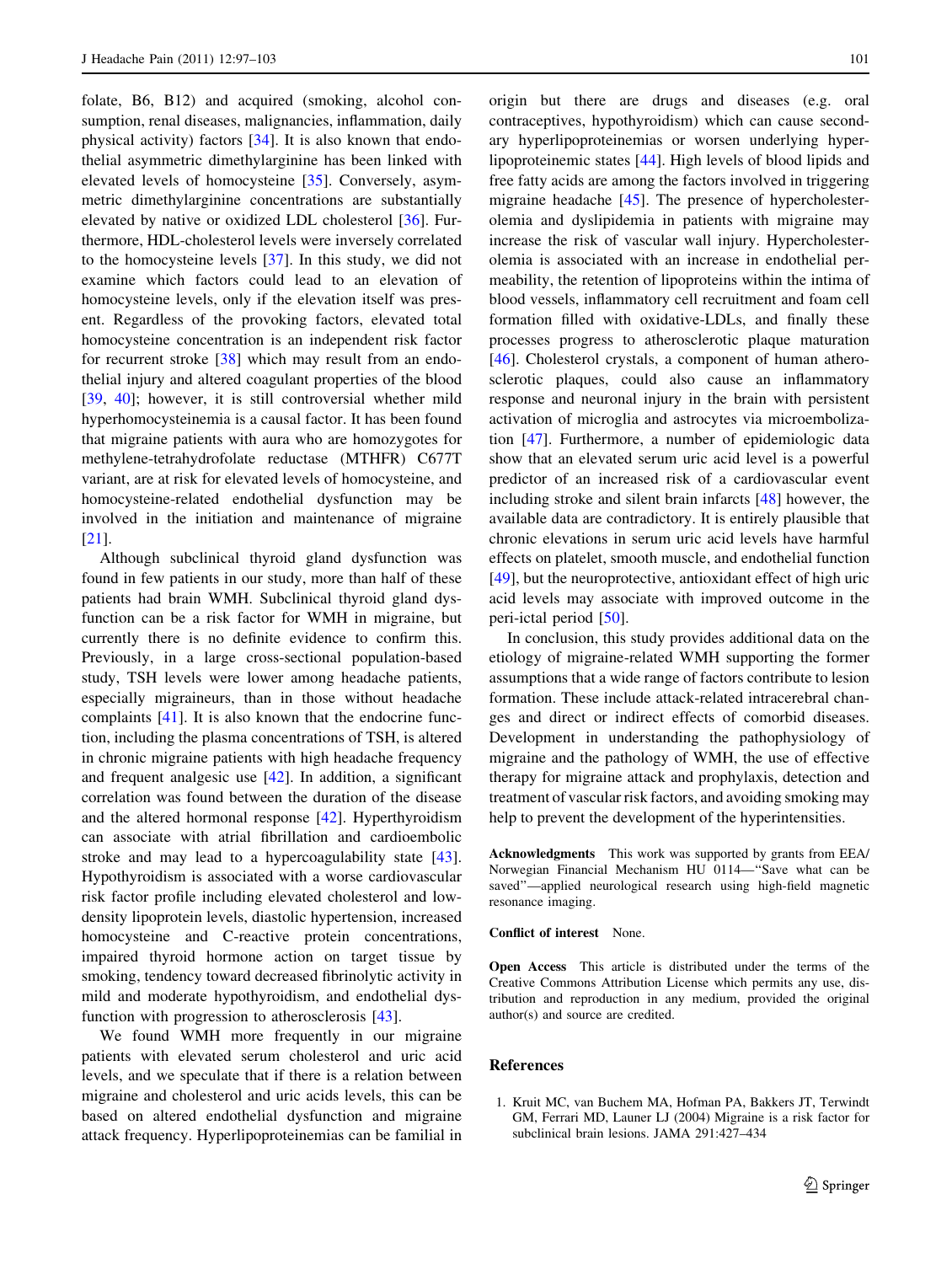<span id="page-4-0"></span>folate, B6, B12) and acquired (smoking, alcohol consumption, renal diseases, malignancies, inflammation, daily physical activity) factors [[34\]](#page-5-0). It is also known that endothelial asymmetric dimethylarginine has been linked with elevated levels of homocysteine [\[35](#page-5-0)]. Conversely, asymmetric dimethylarginine concentrations are substantially elevated by native or oxidized LDL cholesterol [[36\]](#page-5-0). Furthermore, HDL-cholesterol levels were inversely correlated to the homocysteine levels [[37\]](#page-5-0). In this study, we did not examine which factors could lead to an elevation of homocysteine levels, only if the elevation itself was present. Regardless of the provoking factors, elevated total homocysteine concentration is an independent risk factor for recurrent stroke [[38\]](#page-5-0) which may result from an endothelial injury and altered coagulant properties of the blood [\[39](#page-5-0), [40\]](#page-5-0); however, it is still controversial whether mild hyperhomocysteinemia is a causal factor. It has been found that migraine patients with aura who are homozygotes for methylene-tetrahydrofolate reductase (MTHFR) C677T variant, are at risk for elevated levels of homocysteine, and homocysteine-related endothelial dysfunction may be involved in the initiation and maintenance of migraine [\[21](#page-5-0)].

Although subclinical thyroid gland dysfunction was found in few patients in our study, more than half of these patients had brain WMH. Subclinical thyroid gland dysfunction can be a risk factor for WMH in migraine, but currently there is no definite evidence to confirm this. Previously, in a large cross-sectional population-based study, TSH levels were lower among headache patients, especially migraineurs, than in those without headache complaints [[41\]](#page-6-0). It is also known that the endocrine function, including the plasma concentrations of TSH, is altered in chronic migraine patients with high headache frequency and frequent analgesic use [\[42](#page-6-0)]. In addition, a significant correlation was found between the duration of the disease and the altered hormonal response [\[42](#page-6-0)]. Hyperthyroidism can associate with atrial fibrillation and cardioembolic stroke and may lead to a hypercoagulability state [\[43](#page-6-0)]. Hypothyroidism is associated with a worse cardiovascular risk factor profile including elevated cholesterol and lowdensity lipoprotein levels, diastolic hypertension, increased homocysteine and C-reactive protein concentrations, impaired thyroid hormone action on target tissue by smoking, tendency toward decreased fibrinolytic activity in mild and moderate hypothyroidism, and endothelial dysfunction with progression to atherosclerosis [[43\]](#page-6-0).

We found WMH more frequently in our migraine patients with elevated serum cholesterol and uric acid levels, and we speculate that if there is a relation between migraine and cholesterol and uric acids levels, this can be based on altered endothelial dysfunction and migraine attack frequency. Hyperlipoproteinemias can be familial in origin but there are drugs and diseases (e.g. oral contraceptives, hypothyroidism) which can cause secondary hyperlipoproteinemias or worsen underlying hyperlipoproteinemic states [[44\]](#page-6-0). High levels of blood lipids and free fatty acids are among the factors involved in triggering migraine headache [[45\]](#page-6-0). The presence of hypercholesterolemia and dyslipidemia in patients with migraine may increase the risk of vascular wall injury. Hypercholesterolemia is associated with an increase in endothelial permeability, the retention of lipoproteins within the intima of blood vessels, inflammatory cell recruitment and foam cell formation filled with oxidative-LDLs, and finally these processes progress to atherosclerotic plaque maturation [\[46](#page-6-0)]. Cholesterol crystals, a component of human atherosclerotic plaques, could also cause an inflammatory response and neuronal injury in the brain with persistent activation of microglia and astrocytes via microembolization [[47\]](#page-6-0). Furthermore, a number of epidemiologic data show that an elevated serum uric acid level is a powerful predictor of an increased risk of a cardiovascular event including stroke and silent brain infarcts [[48\]](#page-6-0) however, the available data are contradictory. It is entirely plausible that chronic elevations in serum uric acid levels have harmful effects on platelet, smooth muscle, and endothelial function [\[49](#page-6-0)], but the neuroprotective, antioxidant effect of high uric acid levels may associate with improved outcome in the peri-ictal period [[50\]](#page-6-0).

In conclusion, this study provides additional data on the etiology of migraine-related WMH supporting the former assumptions that a wide range of factors contribute to lesion formation. These include attack-related intracerebral changes and direct or indirect effects of comorbid diseases. Development in understanding the pathophysiology of migraine and the pathology of WMH, the use of effective therapy for migraine attack and prophylaxis, detection and treatment of vascular risk factors, and avoiding smoking may help to prevent the development of the hyperintensities.

Acknowledgments This work was supported by grants from EEA/ Norwegian Financial Mechanism HU 0114—''Save what can be saved''—applied neurological research using high-field magnetic resonance imaging.

Conflict of interest None.

Open Access This article is distributed under the terms of the Creative Commons Attribution License which permits any use, distribution and reproduction in any medium, provided the original author(s) and source are credited.

# References

1. Kruit MC, van Buchem MA, Hofman PA, Bakkers JT, Terwindt GM, Ferrari MD, Launer LJ (2004) Migraine is a risk factor for subclinical brain lesions. JAMA 291:427–434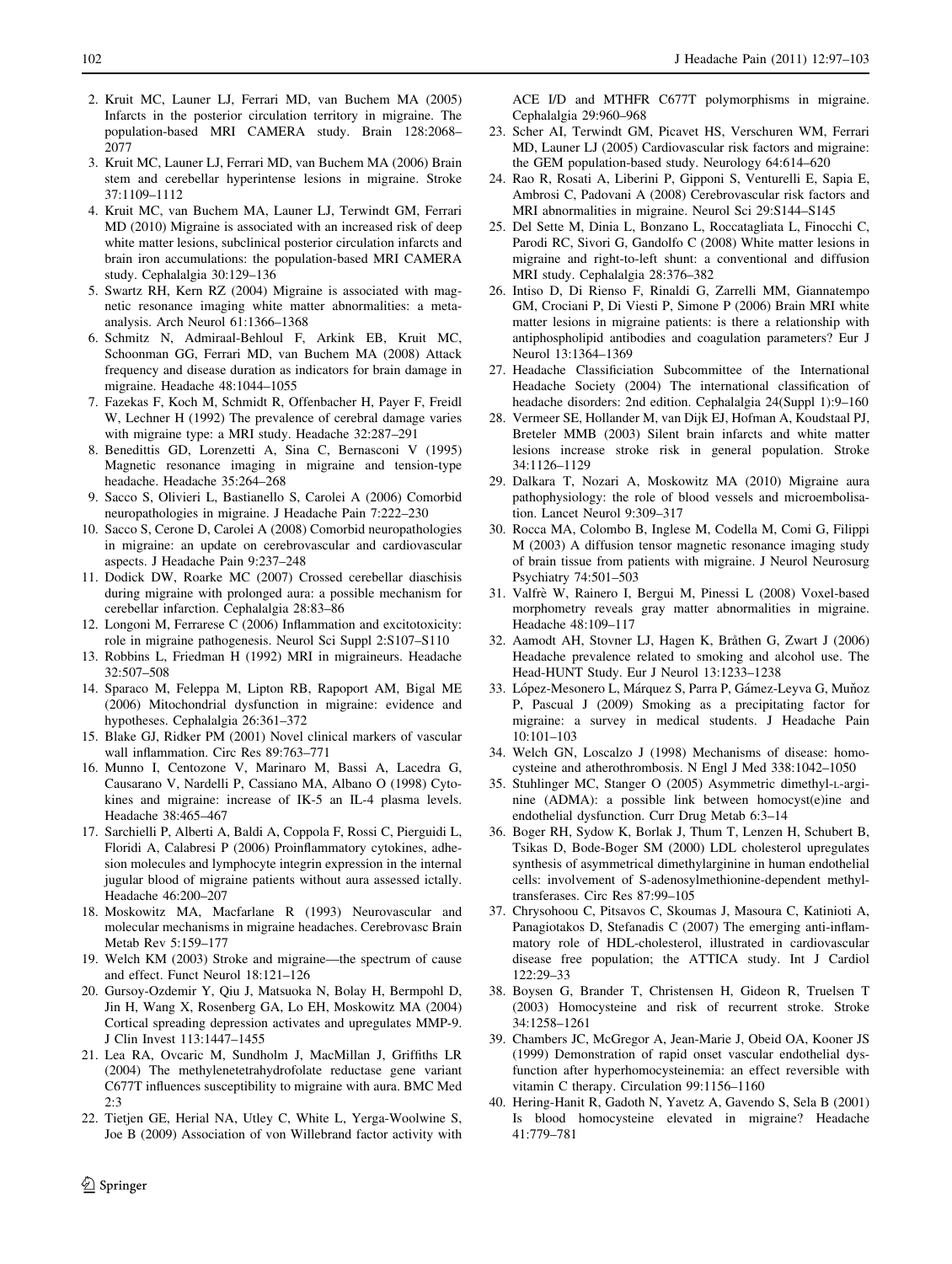- <span id="page-5-0"></span>2. Kruit MC, Launer LJ, Ferrari MD, van Buchem MA (2005) Infarcts in the posterior circulation territory in migraine. The population-based MRI CAMERA study. Brain 128:2068– 2077
- 3. Kruit MC, Launer LJ, Ferrari MD, van Buchem MA (2006) Brain stem and cerebellar hyperintense lesions in migraine. Stroke 37:1109–1112
- 4. Kruit MC, van Buchem MA, Launer LJ, Terwindt GM, Ferrari MD (2010) Migraine is associated with an increased risk of deep white matter lesions, subclinical posterior circulation infarcts and brain iron accumulations: the population-based MRI CAMERA study. Cephalalgia 30:129–136
- 5. Swartz RH, Kern RZ (2004) Migraine is associated with magnetic resonance imaging white matter abnormalities: a metaanalysis. Arch Neurol 61:1366–1368
- 6. Schmitz N, Admiraal-Behloul F, Arkink EB, Kruit MC, Schoonman GG, Ferrari MD, van Buchem MA (2008) Attack frequency and disease duration as indicators for brain damage in migraine. Headache 48:1044–1055
- 7. Fazekas F, Koch M, Schmidt R, Offenbacher H, Payer F, Freidl W, Lechner H (1992) The prevalence of cerebral damage varies with migraine type: a MRI study. Headache 32:287–291
- 8. Benedittis GD, Lorenzetti A, Sina C, Bernasconi V (1995) Magnetic resonance imaging in migraine and tension-type headache. Headache 35:264–268
- 9. Sacco S, Olivieri L, Bastianello S, Carolei A (2006) Comorbid neuropathologies in migraine. J Headache Pain 7:222–230
- 10. Sacco S, Cerone D, Carolei A (2008) Comorbid neuropathologies in migraine: an update on cerebrovascular and cardiovascular aspects. J Headache Pain 9:237–248
- 11. Dodick DW, Roarke MC (2007) Crossed cerebellar diaschisis during migraine with prolonged aura: a possible mechanism for cerebellar infarction. Cephalalgia 28:83–86
- 12. Longoni M, Ferrarese C (2006) Inflammation and excitotoxicity: role in migraine pathogenesis. Neurol Sci Suppl 2:S107–S110
- 13. Robbins L, Friedman H (1992) MRI in migraineurs. Headache 32:507–508
- 14. Sparaco M, Feleppa M, Lipton RB, Rapoport AM, Bigal ME (2006) Mitochondrial dysfunction in migraine: evidence and hypotheses. Cephalalgia 26:361–372
- 15. Blake GJ, Ridker PM (2001) Novel clinical markers of vascular wall inflammation. Circ Res 89:763–771
- 16. Munno I, Centozone V, Marinaro M, Bassi A, Lacedra G, Causarano V, Nardelli P, Cassiano MA, Albano O (1998) Cytokines and migraine: increase of IK-5 an IL-4 plasma levels. Headache 38:465–467
- 17. Sarchielli P, Alberti A, Baldi A, Coppola F, Rossi C, Pierguidi L, Floridi A, Calabresi P (2006) Proinflammatory cytokines, adhesion molecules and lymphocyte integrin expression in the internal jugular blood of migraine patients without aura assessed ictally. Headache 46:200–207
- 18. Moskowitz MA, Macfarlane R (1993) Neurovascular and molecular mechanisms in migraine headaches. Cerebrovasc Brain Metab Rev 5:159–177
- 19. Welch KM (2003) Stroke and migraine—the spectrum of cause and effect. Funct Neurol 18:121–126
- 20. Gursoy-Ozdemir Y, Qiu J, Matsuoka N, Bolay H, Bermpohl D, Jin H, Wang X, Rosenberg GA, Lo EH, Moskowitz MA (2004) Cortical spreading depression activates and upregulates MMP-9. J Clin Invest 113:1447–1455
- 21. Lea RA, Ovcaric M, Sundholm J, MacMillan J, Griffiths LR (2004) The methylenetetrahydrofolate reductase gene variant C677T influences susceptibility to migraine with aura. BMC Med 2:3
- 22. Tietjen GE, Herial NA, Utley C, White L, Yerga-Woolwine S, Joe B (2009) Association of von Willebrand factor activity with

ACE I/D and MTHFR C677T polymorphisms in migraine. Cephalalgia 29:960–968

- 23. Scher AI, Terwindt GM, Picavet HS, Verschuren WM, Ferrari MD, Launer LJ (2005) Cardiovascular risk factors and migraine: the GEM population-based study. Neurology 64:614–620
- 24. Rao R, Rosati A, Liberini P, Gipponi S, Venturelli E, Sapia E, Ambrosi C, Padovani A (2008) Cerebrovascular risk factors and MRI abnormalities in migraine. Neurol Sci 29:S144–S145
- 25. Del Sette M, Dinia L, Bonzano L, Roccatagliata L, Finocchi C, Parodi RC, Sivori G, Gandolfo C (2008) White matter lesions in migraine and right-to-left shunt: a conventional and diffusion MRI study. Cephalalgia 28:376–382
- 26. Intiso D, Di Rienso F, Rinaldi G, Zarrelli MM, Giannatempo GM, Crociani P, Di Viesti P, Simone P (2006) Brain MRI white matter lesions in migraine patients: is there a relationship with antiphospholipid antibodies and coagulation parameters? Eur J Neurol 13:1364–1369
- 27. Headache Classificiation Subcommittee of the International Headache Society (2004) The international classification of headache disorders: 2nd edition. Cephalalgia 24(Suppl 1):9–160
- 28. Vermeer SE, Hollander M, van Dijk EJ, Hofman A, Koudstaal PJ, Breteler MMB (2003) Silent brain infarcts and white matter lesions increase stroke risk in general population. Stroke 34:1126–1129
- 29. Dalkara T, Nozari A, Moskowitz MA (2010) Migraine aura pathophysiology: the role of blood vessels and microembolisation. Lancet Neurol 9:309–317
- 30. Rocca MA, Colombo B, Inglese M, Codella M, Comi G, Filippi M (2003) A diffusion tensor magnetic resonance imaging study of brain tissue from patients with migraine. J Neurol Neurosurg Psychiatry 74:501–503
- 31. Valfre` W, Rainero I, Bergui M, Pinessi L (2008) Voxel-based morphometry reveals gray matter abnormalities in migraine. Headache 48:109–117
- 32. Aamodt AH, Stovner LJ, Hagen K, Bråthen G, Zwart J (2006) Headache prevalence related to smoking and alcohol use. The Head-HUNT Study. Eur J Neurol 13:1233–1238
- 33. López-Mesonero L, Márquez S, Parra P, Gámez-Leyva G, Muňoz P, Pascual J (2009) Smoking as a precipitating factor for migraine: a survey in medical students. J Headache Pain 10:101–103
- 34. Welch GN, Loscalzo J (1998) Mechanisms of disease: homocysteine and atherothrombosis. N Engl J Med 338:1042–1050
- 35. Stuhlinger MC, Stanger O (2005) Asymmetric dimethyl-L-arginine (ADMA): a possible link between homocyst(e)ine and endothelial dysfunction. Curr Drug Metab 6:3–14
- 36. Boger RH, Sydow K, Borlak J, Thum T, Lenzen H, Schubert B, Tsikas D, Bode-Boger SM (2000) LDL cholesterol upregulates synthesis of asymmetrical dimethylarginine in human endothelial cells: involvement of S-adenosylmethionine-dependent methyltransferases. Circ Res 87:99–105
- 37. Chrysohoou C, Pitsavos C, Skoumas J, Masoura C, Katinioti A, Panagiotakos D, Stefanadis C (2007) The emerging anti-inflammatory role of HDL-cholesterol, illustrated in cardiovascular disease free population; the ATTICA study. Int J Cardiol 122:29–33
- 38. Boysen G, Brander T, Christensen H, Gideon R, Truelsen T (2003) Homocysteine and risk of recurrent stroke. Stroke 34:1258–1261
- 39. Chambers JC, McGregor A, Jean-Marie J, Obeid OA, Kooner JS (1999) Demonstration of rapid onset vascular endothelial dysfunction after hyperhomocysteinemia: an effect reversible with vitamin C therapy. Circulation 99:1156–1160
- 40. Hering-Hanit R, Gadoth N, Yavetz A, Gavendo S, Sela B (2001) Is blood homocysteine elevated in migraine? Headache 41:779–781